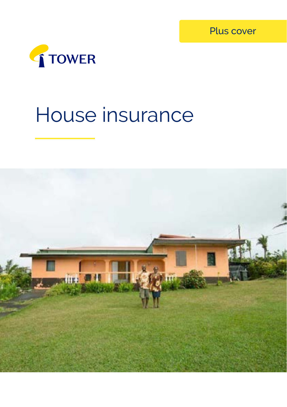Plus cover



# House insurance

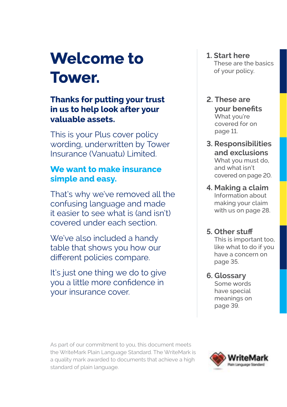# **Welcome to Tower.**

## **Thanks for putting your trust in us to help look after your valuable assets.**

This is your Plus cover policy wording, underwritten by Tower Insurance (Vanuatu) Limited.

## **We want to make insurance simple and easy.**

That's why we've removed all the confusing language and made it easier to see what is (and isn't) covered under each section.

We've also included a handy table that shows you how our different policies compare.

It's just one thing we do to give you a little more confidence in your insurance cover.

- **1. Start here**  These are the basics of your policy.
- **2. These are your benefits** What you're covered for on page 11.
- **3. Responsibilities and exclusions** What you must do, and what isn't covered on page 20.
- **4. Making a claim** Information about making your claim with us on page 28.

## **5. Other stuff**

This is important too, like what to do if you have a concern on page 35.

**6. Glossary**  Some words have special meanings on page 39.

As part of our commitment to you, this document meets the WriteMark Plain Language Standard. The WriteMark is a quality mark awarded to documents that achieve a high standard of plain language.

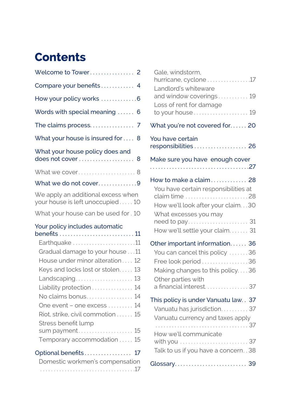## **Contents**

| Welcome to Tower 2                                                                                                                                                                                                                                                                                                                                 |
|----------------------------------------------------------------------------------------------------------------------------------------------------------------------------------------------------------------------------------------------------------------------------------------------------------------------------------------------------|
| Compare your benefits 4                                                                                                                                                                                                                                                                                                                            |
| How your policy works 6                                                                                                                                                                                                                                                                                                                            |
| Words with special meaning  6                                                                                                                                                                                                                                                                                                                      |
|                                                                                                                                                                                                                                                                                                                                                    |
| What your house is insured for<br>8                                                                                                                                                                                                                                                                                                                |
| What your house policy does and<br>does not cover<br>8                                                                                                                                                                                                                                                                                             |
| What we cover 8                                                                                                                                                                                                                                                                                                                                    |
| What we do not cover9                                                                                                                                                                                                                                                                                                                              |
| We apply an additional excess when<br>your house is left unoccupied10                                                                                                                                                                                                                                                                              |
| What your house can be used for . 10                                                                                                                                                                                                                                                                                                               |
| Your policy includes automatic                                                                                                                                                                                                                                                                                                                     |
|                                                                                                                                                                                                                                                                                                                                                    |
| Earthquake 11<br>Gradual damage to your house 11<br>House under minor alteration 12<br>Keys and locks lost or stolen 13<br>Landscaping 13<br>Liability protection  14<br>No claims bonus<br>14<br>One event - one excess<br>14<br>Riot, strike, civil commotion<br>15<br>Stress benefit lump<br>15<br>sum payment<br>15<br>Temporary accommodation |
| Optional benefits 17<br>Domestic workmen's compensation                                                                                                                                                                                                                                                                                            |

|  | DUTICSEC WOLNTICH'S COMPONSCION |
|--|---------------------------------|
|  |                                 |

| Gale, windstorm,<br>hurricane, cyclone 17<br>Landlord's whiteware                                                                                                           |
|-----------------------------------------------------------------------------------------------------------------------------------------------------------------------------|
| and window coverings 19                                                                                                                                                     |
| Loss of rent for damage<br>to your house 19                                                                                                                                 |
| What you're not covered for 20                                                                                                                                              |
| You have certain<br>responsibilities 26                                                                                                                                     |
| Make sure you have enough cover                                                                                                                                             |
| How to make a claim 28<br>You have certain responsibilities at<br>How we'll look after your claim30<br>What excesses you may<br>How we'll settle your claim 31              |
|                                                                                                                                                                             |
| Other important information 36<br>You can cancel this policy 36<br>Free look period 36<br>Making changes to this policy36<br>Other parties with<br>a financial interest 37  |
| This policy is under Vanuatu law. . 37<br>Vanuatu has jurisdiction37<br>Vanuatu currency and taxes apply<br>How we'll communicate<br>Talk to us if you have a concern. . 38 |
|                                                                                                                                                                             |
|                                                                                                                                                                             |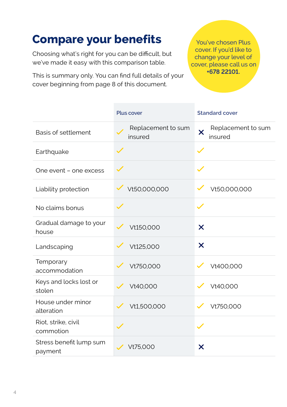## **Compare your benefits**

Choosing what's right for you can be difficult, but we've made it easy with this comparison table.

This is summary only. You can find full details of your cover beginning from page 8 of this document.

You've chosen Plus cover. If you'd like to change your level of cover, please call us on **+678 22101.**

|                                    | Plus cover                    | <b>Standard cover</b>                                    |
|------------------------------------|-------------------------------|----------------------------------------------------------|
| Basis of settlement                | Replacement to sum<br>insured | Replacement to sum<br>$\overline{\mathsf{x}}$<br>insured |
| Earthquake                         |                               |                                                          |
| One event - one excess             |                               |                                                          |
| Liability protection               | Vt50,000,000                  | Vt50,000,000                                             |
| No claims bonus                    |                               |                                                          |
| Gradual damage to your<br>house    | Vt150,000                     | X                                                        |
| Landscaping                        | Vt125,000                     | X                                                        |
| Temporary<br>accommodation         | Vt750.000                     | Vt400.000                                                |
| Keys and locks lost or<br>stolen   | Vt40.000                      | Vt40.000                                                 |
| House under minor<br>alteration    | Vt1,500,000                   | Vt750,000                                                |
| Riot, strike, civil<br>commotion   |                               |                                                          |
| Stress benefit lump sum<br>payment | Vt75.000                      | X                                                        |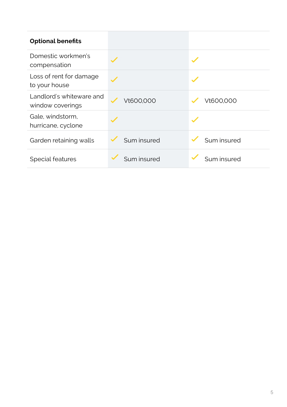| <b>Optional benefits</b>                     |             |             |
|----------------------------------------------|-------------|-------------|
| Domestic workmen's<br>compensation           |             |             |
| Loss of rent for damage<br>to your house     |             |             |
| Landlord's whiteware and<br>window coverings | Vt600.000   | Vt600.000   |
| Gale, windstorm.<br>hurricane, cyclone       |             |             |
| Garden retaining walls                       | Sum insured | Sum insured |
| Special features                             | Sum insured | Sum insured |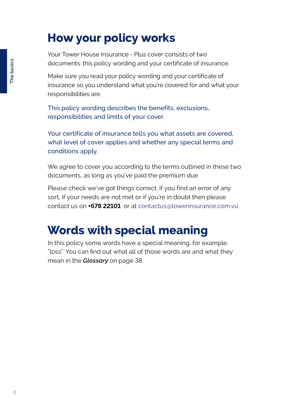## <span id="page-5-0"></span>**How your policy works**

Your Tower House Insurance - Plus cover consists of two documents: this policy wording and your certificate of insurance.

Make sure you read your policy wording and your certificate of insurance so you understand what you're covered for and what your responsibilities are.

This policy wording describes the benefits, exclusions, responsibilities and limits of your cover.

Your certificate of insurance tells you what assets are covered, what level of cover applies and whether any special terms and conditions apply.

We agree to cover you according to the terms outlined in these two documents, as long as you've paid the premium due.

Please check we've got things correct, if you find an error of any sort, if your needs are not met or if you're in doubt then please contact us on **+678 22101** or at contactus[@towerinsurance.com.vu](http://@towerinsurance.com.vu).

## **Words with special meaning**

In this policy some words have a special meaning, for example, "loss". You can find out what all of those words are and what they mean in the *Glossary* on page 38.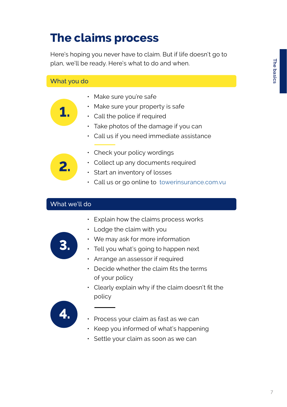## **The claims process**

Here's hoping you never have to claim. But if life doesn't go to plan, we'll be ready. Here's what to do and when.

#### What you do

- Make sure you're safe
- Make sure your property is safe
- Call the police if required
- Take photos of the damage if you can
- Call us if you need immediate assistance



**1.**

- Check your policy wordings
- Collect up any documents required
- Start an inventory of losses
- Call us or go online to [towerinsurance.com.vu](http:// towerinsurance.com.vu )

#### What we'll do

• Explain how the claims process works



• We may ask for more information

• Lodge the claim with you

- Tell you what's going to happen next
- Arrange an assessor if required
- Decide whether the claim fits the terms of your policy
- Clearly explain why if the claim doesn't fit the policy



- Process your claim as fast as we can
- Keep you informed of what's happening
- Settle your claim as soon as we can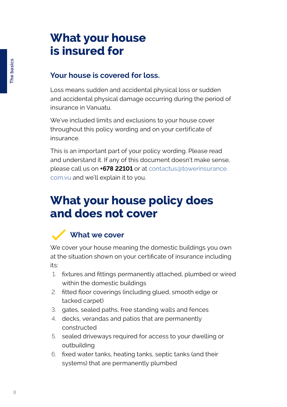## **What your house is insured for**

## **Your house is covered for loss.**

Loss means sudden and accidental physical loss or sudden and accidental physical damage occurring during the period of insurance in Vanuatu.

We've included limits and exclusions to your house cover throughout this policy wording and on your certificate of insurance.

This is an important part of your policy wording. Please read and understand it. If any of this document doesn't make sense, please call us on **+678 22101** or at [contactus@towerinsurance.](http://contactus@towerinsurance.com.vu) [com.vu](http://contactus@towerinsurance.com.vu) and we'll explain it to you.

## **What your house policy does and does not cover**

## **What we cover**

We cover your house meaning the domestic buildings you own at the situation shown on your certificate of insurance including its:

- 1. fixtures and fittings permanently attached, plumbed or wired within the domestic buildings
- 2. fitted floor coverings (including glued, smooth edge or tacked carpet)
- 3. gates, sealed paths, free standing walls and fences
- 4. decks, verandas and patios that are permanently constructed
- 5. sealed driveways required for access to your dwelling or outbuilding
- 6. fixed water tanks, heating tanks, septic tanks (and their systems) that are permanently plumbed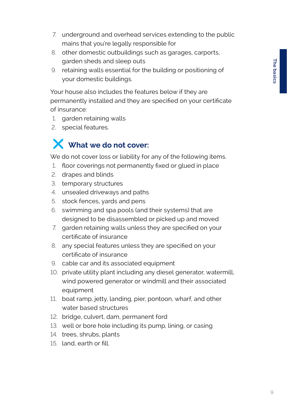- 7. underground and overhead services extending to the public mains that you're legally responsible for
- 8. other domestic outbuildings such as garages, carports, garden sheds and sleep outs
- 9. retaining walls essential for the building or positioning of your domestic buildings.

Your house also includes the features below if they are permanently installed and they are specified on your certificate of insurance:

- 1. garden retaining walls
- 2. special features.

## **What we do not cover:**

We do not cover loss or liability for any of the following items.

- 1. floor coverings not permanently fixed or glued in place
- 2. drapes and blinds
- 3. temporary structures
- 4. unsealed driveways and paths
- 5. stock fences, yards and pens
- 6. swimming and spa pools (and their systems) that are designed to be disassembled or picked up and moved
- 7. garden retaining walls unless they are specified on your certificate of insurance
- 8. any special features unless they are specified on your certificate of insurance
- 9. cable car and its associated equipment
- 10. private utility plant including any diesel generator, watermill, wind powered generator or windmill and their associated equipment
- 11. boat ramp, jetty, landing, pier, pontoon, wharf, and other water based structures
- 12. bridge, culvert, dam, permanent ford
- 13. well or bore hole including its pump, lining, or casing
- 14. trees, shrubs, plants
- 15. land, earth or fill.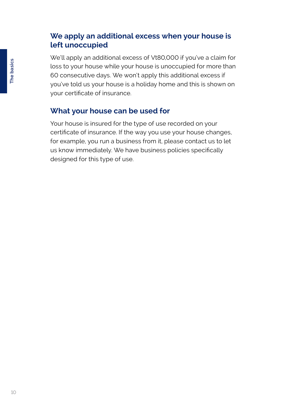### **We apply an additional excess when your house is left unoccupied**

We'll apply an additional excess of Vt80,000 if you've a claim for loss to your house while your house is unoccupied for more than 60 consecutive days. We won't apply this additional excess if you've told us your house is a holiday home and this is shown on your certificate of insurance.

## **What your house can be used for**

Your house is insured for the type of use recorded on your certificate of insurance. If the way you use your house changes, for example, you run a business from it, please contact us to let us know immediately. We have business policies specifically designed for this type of use.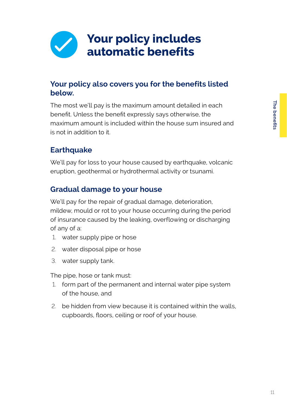

## **Your policy also covers you for the benefits listed below.**

The most we'll pay is the maximum amount detailed in each benefit. Unless the benefit expressly says otherwise, the maximum amount is included within the house sum insured and is not in addition to it.

## **Earthquake**

We'll pay for loss to your house caused by earthquake, volcanic eruption, geothermal or hydrothermal activity or tsunami.

## **Gradual damage to your house**

We'll pay for the repair of gradual damage, deterioration, mildew, mould or rot to your house occurring during the period of insurance caused by the leaking, overflowing or discharging of any of a:

- 1. water supply pipe or hose
- 2. water disposal pipe or hose
- 3. water supply tank.

The pipe, hose or tank must:

- 1. form part of the permanent and internal water pipe system of the house, and
- 2. be hidden from view because it is contained within the walls, cupboards, floors, ceiling or roof of your house.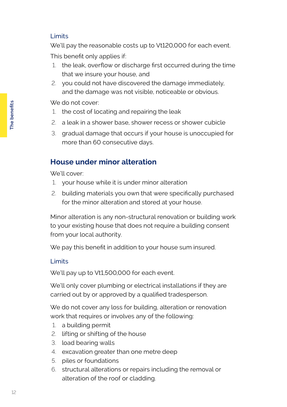#### Limits

We'll pay the reasonable costs up to Vt120,000 for each event. This benefit only applies if:

- 1. the leak, overflow or discharge first occurred during the time that we insure your house, and
- 2. you could not have discovered the damage immediately, and the damage was not visible, noticeable or obvious.

We do not cover:

- 1. the cost of locating and repairing the leak
- 2. a leak in a shower base, shower recess or shower cubicle
- 3. gradual damage that occurs if your house is unoccupied for more than 60 consecutive days.

## **House under minor alteration**

We'll cover:

- 1. your house while it is under minor alteration
- 2. building materials you own that were specifically purchased for the minor alteration and stored at your house.

Minor alteration is any non-structural renovation or building work to your existing house that does not require a building consent from your local authority.

We pay this benefit in addition to your house sum insured.

#### Limits

We'll pay up to Vt1,500,000 for each event.

We'll only cover plumbing or electrical installations if they are carried out by or approved by a qualified tradesperson.

We do not cover any loss for building, alteration or renovation work that requires or involves any of the following:

- 1. a building permit
- 2. lifting or shifting of the house
- 3. load bearing walls
- 4. excavation greater than one metre deep
- 5. piles or foundations
- 6. structural alterations or repairs including the removal or alteration of the roof or cladding.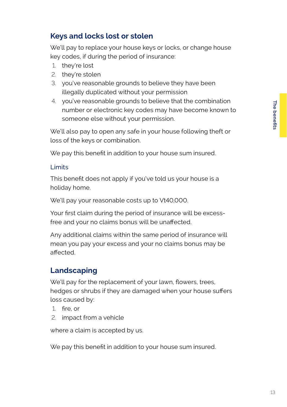## **Keys and locks lost or stolen**

We'll pay to replace your house keys or locks, or change house key codes, if during the period of insurance:

- 1. they're lost
- 2. they're stolen
- 3. you've reasonable grounds to believe they have been illegally duplicated without your permission
- 4. you've reasonable grounds to believe that the combination number or electronic key codes may have become known to someone else without your permission.

We'll also pay to open any safe in your house following theft or loss of the keys or combination.

We pay this benefit in addition to your house sum insured.

#### Limits

This benefit does not apply if you've told us your house is a holiday home.

We'll pay your reasonable costs up to Vt40,000.

Your first claim during the period of insurance will be excessfree and your no claims bonus will be unaffected.

Any additional claims within the same period of insurance will mean you pay your excess and your no claims bonus may be affected.

## **Landscaping**

We'll pay for the replacement of your lawn, flowers, trees, hedges or shrubs if they are damaged when your house suffers loss caused by:

- 1. fire, or
- 2. impact from a vehicle

where a claim is accepted by us.

We pay this benefit in addition to your house sum insured.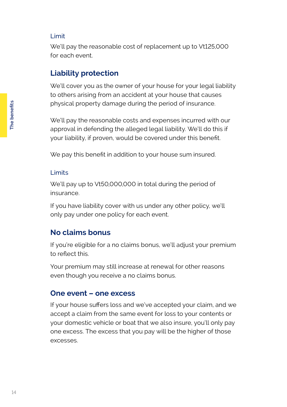#### Limit

We'll pay the reasonable cost of replacement up to Vt125,000 for each event.

## **Liability protection**

We'll cover you as the owner of your house for your legal liability to others arising from an accident at your house that causes physical property damage during the period of insurance.

We'll pay the reasonable costs and expenses incurred with our approval in defending the alleged legal liability. We'll do this if your liability, if proven, would be covered under this benefit.

We pay this benefit in addition to your house sum insured.

#### Limits

We'll pay up to Vt50,000,000 in total during the period of insurance.

If you have liability cover with us under any other policy, we'll only pay under one policy for each event.

## **No claims bonus**

If you're eligible for a no claims bonus, we'll adjust your premium to reflect this.

Your premium may still increase at renewal for other reasons even though you receive a no claims bonus.

#### **One event – one excess**

If your house suffers loss and we've accepted your claim, and we accept a claim from the same event for loss to your contents or your domestic vehicle or boat that we also insure, you'll only pay one excess. The excess that you pay will be the higher of those excesses.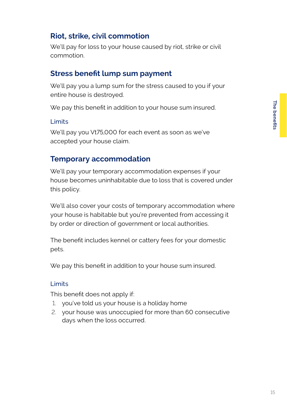## **Riot, strike, civil commotion**

We'll pay for loss to your house caused by riot, strike or civil commotion.

### **Stress benefit lump sum payment**

We'll pay you a lump sum for the stress caused to you if your entire house is destroyed.

We pay this benefit in addition to your house sum insured.

#### Limits

We'll pay you Vt75,000 for each event as soon as we've accepted your house claim.

### **Temporary accommodation**

We'll pay your temporary accommodation expenses if your house becomes uninhabitable due to loss that is covered under this policy.

We'll also cover your costs of temporary accommodation where your house is habitable but you're prevented from accessing it by order or direction of government or local authorities.

The benefit includes kennel or cattery fees for your domestic pets.

We pay this benefit in addition to your house sum insured.

#### Limits

This benefit does not apply if:

- 1. you've told us your house is a holiday home
- 2. your house was unoccupied for more than 60 consecutive days when the loss occurred.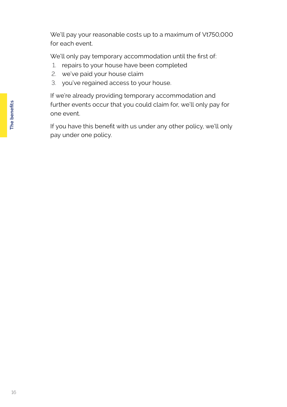We'll pay your reasonable costs up to a maximum of Vt750,000 for each event.

We'll only pay temporary accommodation until the first of:

- 1. repairs to your house have been completed
- 2. we've paid your house claim
- 3. you've regained access to your house.

If we're already providing temporary accommodation and further events occur that you could claim for, we'll only pay for one event.

If you have this benefit with us under any other policy, we'll only pay under one policy.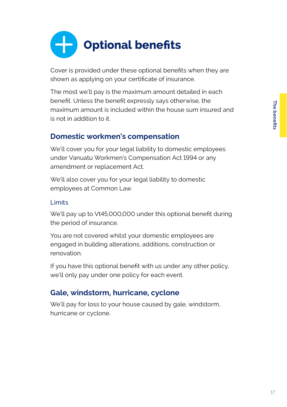

Cover is provided under these optional benefits when they are shown as applying on your certificate of insurance.

The most we'll pay is the maximum amount detailed in each benefit. Unless the benefit expressly says otherwise, the maximum amount is included within the house sum insured and is not in addition to it.

## **Domestic workmen's compensation**

We'll cover you for your legal liability to domestic employees under Vanuatu Workmen's Compensation Act 1994 or any amendment or replacement Act.

We'll also cover you for your legal liability to domestic employees at Common Law.

#### Limits

We'll pay up to Vt45,000,000 under this optional benefit during the period of insurance.

You are not covered whilst your domestic employees are engaged in building alterations, additions, construction or renovation.

If you have this optional benefit with us under any other policy, we'll only pay under one policy for each event.

## **Gale, windstorm, hurricane, cyclone**

We'll pay for loss to your house caused by gale, windstorm, hurricane or cyclone.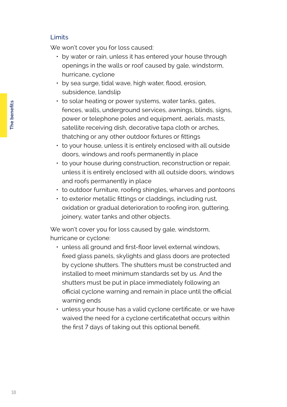#### Limits

We won't cover you for loss caused:

- by water or rain, unless it has entered your house through openings in the walls or roof caused by gale, windstorm, hurricane, cyclone
- by sea surge, tidal wave, high water, flood, erosion, subsidence, landslip
- to solar heating or power systems, water tanks, gates, fences, walls, underground services, awnings, blinds, signs, power or telephone poles and equipment, aerials, masts, satellite receiving dish, decorative tapa cloth or arches, thatching or any other outdoor fixtures or fittings
- to your house, unless it is entirely enclosed with all outside doors, windows and roofs permanently in place
- to your house during construction, reconstruction or repair, unless it is entirely enclosed with all outside doors, windows and roofs permanently in place
- to outdoor furniture, roofing shingles, wharves and pontoons
- to exterior metallic fittings or claddings, including rust, oxidation or gradual deterioration to roofing iron, guttering, joinery, water tanks and other objects.

We won't cover you for loss caused by gale, windstorm, hurricane or cyclone:

- unless all ground and first-floor level external windows, fixed glass panels, skylights and glass doors are protected by cyclone shutters. The shutters must be constructed and installed to meet minimum standards set by us. And the shutters must be put in place immediately following an official cyclone warning and remain in place until the official warning ends
- unless your house has a valid cyclone certificate, or we have waived the need for a cyclone certificatethat occurs within the first 7 days of taking out this optional benefit.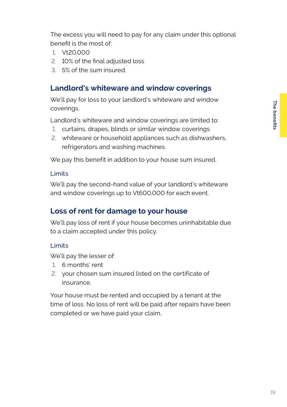The excess you will need to pay for any claim under this optional benefit is the most of:

- 1. Vt20,000
- 2. 10% of the final adjusted loss
- 3. 5% of the sum insured.

### **Landlord's whiteware and window coverings**

We'll pay for loss to your landlord's whiteware and window coverings.

Landlord's whiteware and window coverings are limited to:

- 1. curtains, drapes, blinds or similar window coverings
- 2. whiteware or household appliances such as dishwashers, refrigerators and washing machines.

We pay this benefit in addition to your house sum insured.

#### Limits

We'll pay the second-hand value of your landlord's whiteware and window coverings up to Vt600,000 for each event.

### **Loss of rent for damage to your house**

We'll pay loss of rent if your house becomes uninhabitable due to a claim accepted under this policy.

#### Limits

We'll pay the lesser of:

- 1. 6 months' rent
- 2. your chosen sum insured listed on the certificate of insurance.

Your house must be rented and occupied by a tenant at the time of loss. No loss of rent will be paid after repairs have been completed or we have paid your claim.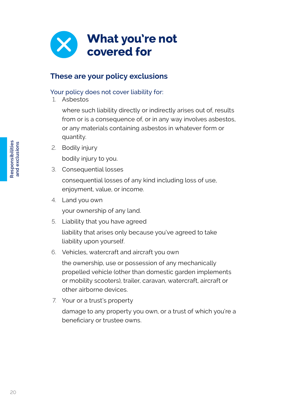

## **These are your policy exclusions**

#### Your policy does not cover liability for:

1. Asbestos

where such liability directly or indirectly arises out of, results from or is a consequence of, or in any way involves asbestos, or any materials containing asbestos in whatever form or quantity.

- 2. Bodily injury bodily injury to you.
- 3. Consequential losses

consequential losses of any kind including loss of use, enjoyment, value, or income.

4. Land you own

your ownership of any land.

5. Liability that you have agreed

liability that arises only because you've agreed to take liability upon yourself.

#### 6. Vehicles, watercraft and aircraft you own

the ownership, use or possession of any mechanically propelled vehicle (other than domestic garden implements or mobility scooters), trailer, caravan, watercraft, aircraft or other airborne devices.

7. Your or a trust's property

damage to any property you own, or a trust of which you're a beneficiary or trustee owns.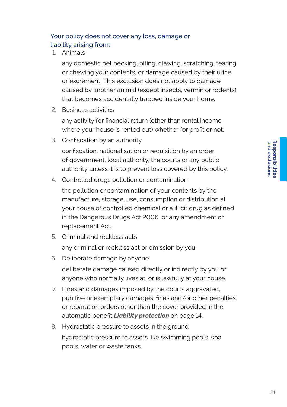#### Your policy does not cover any loss, damage or liability arising from:

1. Animals

any domestic pet pecking, biting, clawing, scratching, tearing or chewing your contents, or damage caused by their urine or excrement. This exclusion does not apply to damage caused by another animal (except insects, vermin or rodents) that becomes accidentally trapped inside your home.

2. Business activities

any activity for financial return (other than rental income where your house is rented out) whether for profit or not.

3. Confiscation by an authority

confiscation, nationalisation or requisition by an order of government, local authority, the courts or any public authority unless it is to prevent loss covered by this policy.

4. Controlled drugs pollution or contamination

the pollution or contamination of your contents by the manufacture, storage, use, consumption or distribution at your house of controlled chemical or a illicit drug as defined in the Dangerous Drugs Act 2006 or any amendment or replacement Act.

5. Criminal and reckless acts

any criminal or reckless act or omission by you.

- 6. Deliberate damage by anyone deliberate damage caused directly or indirectly by you or anyone who normally lives at, or is lawfully at your house.
- 7. Fines and damages imposed by the courts aggravated, punitive or exemplary damages, fines and/or other penalties or reparation orders other than the cover provided in the automatic benefit *Liability protection* on page 14.
- 8. Hydrostatic pressure to assets in the ground hydrostatic pressure to assets like swimming pools, spa pools, water or waste tanks.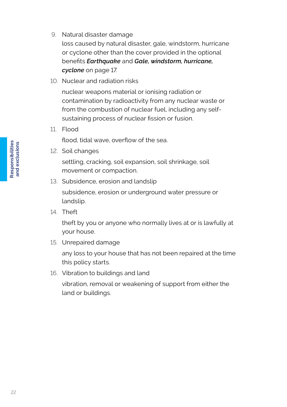9. Natural disaster damage

loss caused by natural disaster, gale, windstorm, hurricane or cyclone other than the cover provided in the optional benefits *Earthquake* and *Gale, windstorm, hurricane, cyclone* on page 17.

10. Nuclear and radiation risks

nuclear weapons material or ionising radiation or contamination by radioactivity from any nuclear waste or from the combustion of nuclear fuel, including any selfsustaining process of nuclear fission or fusion.

11. Flood

flood, tidal wave, overflow of the sea.

12. Soil changes

settling, cracking, soil expansion, soil shrinkage, soil movement or compaction.

13. Subsidence, erosion and landslip

subsidence, erosion or underground water pressure or landslip.

14. Theft

theft by you or anyone who normally lives at or is lawfully at your house.

15. Unrepaired damage

any loss to your house that has not been repaired at the time this policy starts.

16. Vibration to buildings and land

vibration, removal or weakening of support from either the land or buildings.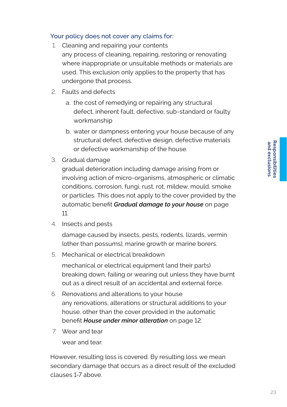#### Your policy does not cover any claims for:

- 1. Cleaning and repairing your contents any process of cleaning, repairing, restoring or renovating where inappropriate or unsuitable methods or materials are used. This exclusion only applies to the property that has undergone that process.
- 2. Faults and defects
	- a. the cost of remedying or repairing any structural defect, inherent fault, defective, sub-standard or faulty workmanship
	- b. water or dampness entering your house because of any structural defect, defective design, defective materials or defective workmanship of the house.
- 3. Gradual damage

gradual deterioration including damage arising from or involving action of micro-organisms, atmospheric or climatic conditions, corrosion, fungi, rust, rot, mildew, mould, smoke or particles. This does not apply to the cover provided by the automatic benefit *Gradual damage to your house* on page 11.

4. Insects and pests

damage caused by insects, pests, rodents, lizards, vermin (other than possums), marine growth or marine borers.

5. Mechanical or electrical breakdown

mechanical or electrical equipment (and their parts) breaking down, failing or wearing out unless they have burnt out as a direct result of an accidental and external force.

- 6. Renovations and alterations to your house any renovations, alterations or structural additions to your house, other than the cover provided in the automatic benefit *House under minor alteration* on page 12.
- 7. Wear and tear

wear and tear.

However, resulting loss is covered. By resulting loss we mean secondary damage that occurs as a direct result of the excluded clauses 1-7 above.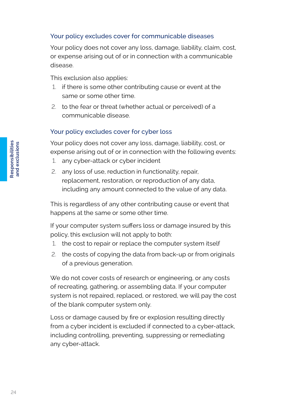#### Your policy excludes cover for communicable diseases

Your policy does not cover any loss, damage, liability, claim, cost, or expense arising out of or in connection with a communicable disease.

This exclusion also applies:

- 1. if there is some other contributing cause or event at the same or some other time.
- 2. to the fear or threat (whether actual or perceived) of a communicable disease.

#### Your policy excludes cover for cyber loss

Your policy does not cover any loss, damage, liability, cost, or expense arising out of or in connection with the following events:

- 1. any cyber-attack or cyber incident
- 2. any loss of use, reduction in functionality, repair, replacement, restoration, or reproduction of any data, including any amount connected to the value of any data.

This is regardless of any other contributing cause or event that happens at the same or some other time.

If your computer system suffers loss or damage insured by this policy, this exclusion will not apply to both:

- 1. the cost to repair or replace the computer system itself
- 2. the costs of copying the data from back-up or from originals of a previous generation.

We do not cover costs of research or engineering, or any costs of recreating, gathering, or assembling data. If your computer system is not repaired, replaced, or restored, we will pay the cost of the blank computer system only.

Loss or damage caused by fire or explosion resulting directly from a cyber incident is excluded if connected to a cyber-attack, including controlling, preventing, suppressing or remediating any cyber-attack.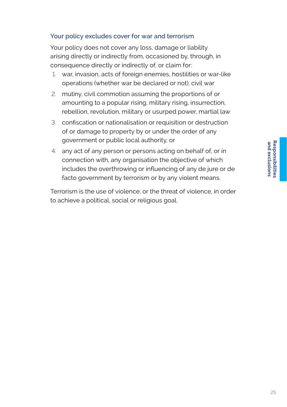#### Your policy excludes cover for war and terrorism

Your policy does not cover any loss, damage or liability arising directly or indirectly from, occasioned by, through, in consequence directly or indirectly of, or claim for:

- 1. war, invasion, acts of foreign enemies, hostilities or war-like operations (whether war be declared or not), civil war
- 2. mutiny, civil commotion assuming the proportions of or amounting to a popular rising, military rising, insurrection, rebellion, revolution, military or usurped power, martial law
- 3. confiscation or nationalisation or requisition or destruction of or damage to property by or under the order of any government or public local authority, or
- 4. any act of any person or persons acting on behalf of, or in connection with, any organisation the objective of which includes the overthrowing or influencing of any de jure or de facto government by terrorism or by any violent means.

Terrorism is the use of violence, or the threat of violence, in order to achieve a political, social or religious goal.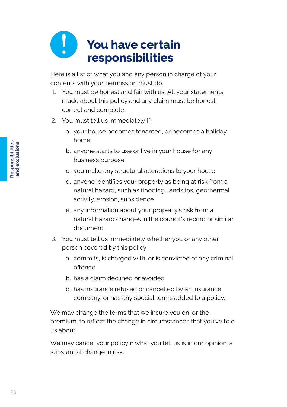## **You have certain responsibilities**

Here is a list of what you and any person in charge of your contents with your permission must do.

- 1. You must be honest and fair with us. All your statements made about this policy and any claim must be honest, correct and complete.
- 2. You must tell us immediately if:
	- a. your house becomes tenanted, or becomes a holiday home
	- b. anyone starts to use or live in your house for any business purpose
	- c. you make any structural alterations to your house
	- d. anyone identifies your property as being at risk from a natural hazard, such as flooding, landslips, geothermal activity, erosion, subsidence
	- e. any information about your property's risk from a natural hazard changes in the council's record or similar document.
- 3. You must tell us immediately whether you or any other person covered by this policy:
	- a. commits, is charged with, or is convicted of any criminal offence
	- b. has a claim declined or avoided
	- c. has insurance refused or cancelled by an insurance company, or has any special terms added to a policy.

We may change the terms that we insure you on, or the premium, to reflect the change in circumstances that you've told us about.

We may cancel your policy if what you tell us is in our opinion, a substantial change in risk.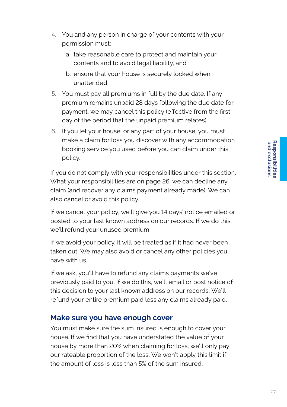- 4. You and any person in charge of your contents with your permission must:
	- a. take reasonable care to protect and maintain your contents and to avoid legal liability, and
	- b. ensure that your house is securely locked when unattended.
- 5. You must pay all premiums in full by the due date. If any premium remains unpaid 28 days following the due date for payment, we may cancel this policy (effective from the first day of the period that the unpaid premium relates).
- 6. If you let your house, or any part of your house, you must make a claim for loss you discover with any accommodation booking service you used before you can claim under this policy.

If you do not comply with your responsibilities under this section, What your responsibilities are on page 26, we can decline any claim (and recover any claims payment already made). We can also cancel or avoid this policy.

If we cancel your policy, we'll give you 14 days' notice emailed or posted to your last known address on our records. If we do this, we'll refund your unused premium.

If we avoid your policy, it will be treated as if it had never been taken out. We may also avoid or cancel any other policies you have with us.

If we ask, you'll have to refund any claims payments we've previously paid to you. If we do this, we'll email or post notice of this decision to your last known address on our records. We'll refund your entire premium paid less any claims already paid.

### **Make sure you have enough cover**

You must make sure the sum insured is enough to cover your house. If we find that you have understated the value of your house by more than 20% when claiming for loss, we'll only pay our rateable proportion of the loss. We won't apply this limit if the amount of loss is less than 5% of the sum insured.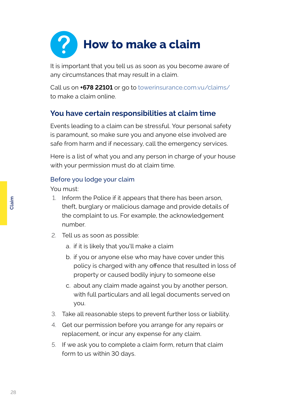

It is important that you tell us as soon as you become aware of any circumstances that may result in a claim.

Call us on **+678 22101** or go to [towerinsurance.com.vu/claims/](http://towerinsurance.com.vu/claims/ )  to make a claim online.

## **You have certain responsibilities at claim time**

Events leading to a claim can be stressful. Your personal safety is paramount, so make sure you and anyone else involved are safe from harm and if necessary, call the emergency services.

Here is a list of what you and any person in charge of your house with your permission must do at claim time.

#### Before you lodge your claim

You must:

- 1. Inform the Police if it appears that there has been arson, theft, burglary or malicious damage and provide details of the complaint to us. For example, the acknowledgement number.
- 2. Tell us as soon as possible:
	- a. if it is likely that you'll make a claim
	- b. if you or anyone else who may have cover under this policy is charged with any offence that resulted in loss of property or caused bodily injury to someone else
	- c. about any claim made against you by another person, with full particulars and all legal documents served on you.
- 3. Take all reasonable steps to prevent further loss or liability.
- 4. Get our permission before you arrange for any repairs or replacement, or incur any expense for any claim.
- 5. If we ask you to complete a claim form, return that claim form to us within 30 days.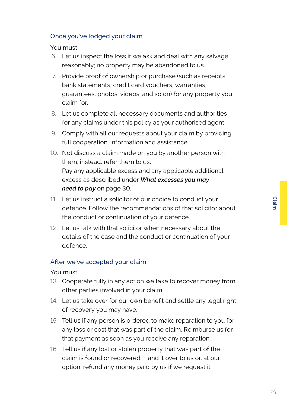#### Once you've lodged your claim

You must:

- 6. Let us inspect the loss if we ask and deal with any salvage reasonably; no property may be abandoned to us.
- 7. Provide proof of ownership or purchase (such as receipts, bank statements, credit card vouchers, warranties, guarantees, photos, videos, and so on) for any property you claim for.
- 8. Let us complete all necessary documents and authorities for any claims under this policy as your authorised agent.
- 9. Comply with all our requests about your claim by providing full cooperation, information and assistance.
- 10. Not discuss a claim made on you by another person with them; instead, refer them to us. Pay any applicable excess and any applicable additional excess as described under *What excesses you may need to pay* on page 30.
- 11. Let us instruct a solicitor of our choice to conduct your defence. Follow the recommendations of that solicitor about the conduct or continuation of your defence.
- 12. Let us talk with that solicitor when necessary about the details of the case and the conduct or continuation of your defence.

#### After we've accepted your claim

You must:

- 13. Cooperate fully in any action we take to recover money from other parties involved in your claim.
- 14. Let us take over for our own benefit and settle any legal right of recovery you may have.
- 15. Tell us if any person is ordered to make reparation to you for any loss or cost that was part of the claim. Reimburse us for that payment as soon as you receive any reparation.
- 16. Tell us if any lost or stolen property that was part of the claim is found or recovered. Hand it over to us or, at our option, refund any money paid by us if we request it.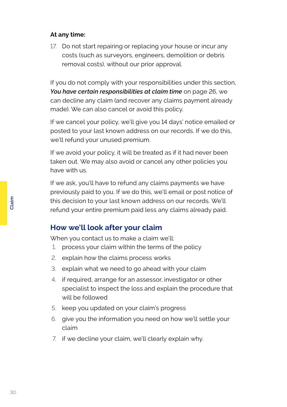#### **At any time:**

17. Do not start repairing or replacing your house or incur any costs (such as surveyors, engineers, demolition or debris removal costs), without our prior approval.

If you do not comply with your responsibilities under this section, *You have certain responsibilities at claim time* on page 26, we can decline any claim (and recover any claims payment already made). We can also cancel or avoid this policy.

If we cancel your policy, we'll give you 14 days' notice emailed or posted to your last known address on our records. If we do this, we'll refund your unused premium.

If we avoid your policy, it will be treated as if it had never been taken out. We may also avoid or cancel any other policies you have with us.

If we ask, you'll have to refund any claims payments we have previously paid to you. If we do this, we'll email or post notice of this decision to your last known address on our records. We'll refund your entire premium paid less any claims already paid.

## **How we'll look after your claim**

When you contact us to make a claim we'll:

- 1. process your claim within the terms of the policy
- 2. explain how the claims process works
- 3. explain what we need to go ahead with your claim
- 4. if required, arrange for an assessor, investigator or other specialist to inspect the loss and explain the procedure that will be followed
- 5. keep you updated on your claim's progress
- 6. give you the information you need on how we'll settle your claim
- 7. if we decline your claim, we'll clearly explain why.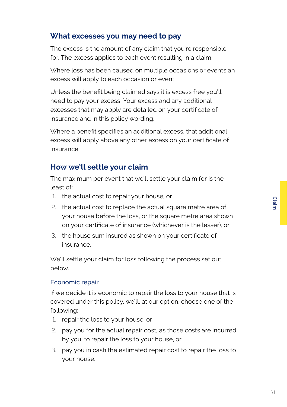## **What excesses you may need to pay**

The excess is the amount of any claim that you're responsible for. The excess applies to each event resulting in a claim.

Where loss has been caused on multiple occasions or events an excess will apply to each occasion or event.

Unless the benefit being claimed says it is excess free you'll need to pay your excess. Your excess and any additional excesses that may apply are detailed on your certificate of insurance and in this policy wording.

Where a benefit specifies an additional excess, that additional excess will apply above any other excess on your certificate of insurance.

## **How we'll settle your claim**

The maximum per event that we'll settle your claim for is the least of:

- 1. the actual cost to repair your house, or
- 2. the actual cost to replace the actual square metre area of your house before the loss, or the square metre area shown on your certificate of insurance (whichever is the lesser), or
- 3. the house sum insured as shown on your certificate of insurance.

We'll settle your claim for loss following the process set out below.

#### Economic repair

If we decide it is economic to repair the loss to your house that is covered under this policy, we'll, at our option, choose one of the following:

- 1. repair the loss to your house, or
- 2. pay you for the actual repair cost, as those costs are incurred by you, to repair the loss to your house, or
- 3. pay you in cash the estimated repair cost to repair the loss to your house.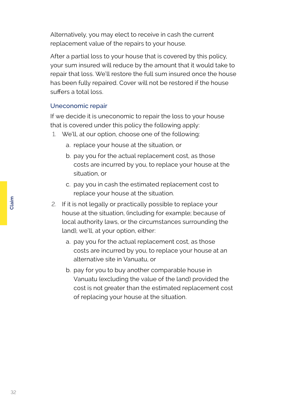Alternatively, you may elect to receive in cash the current replacement value of the repairs to your house.

After a partial loss to your house that is covered by this policy, your sum insured will reduce by the amount that it would take to repair that loss. We'll restore the full sum insured once the house has been fully repaired. Cover will not be restored if the house suffers a total loss.

#### Uneconomic repair

If we decide it is uneconomic to repair the loss to your house that is covered under this policy the following apply:

- 1. We'll, at our option, choose one of the following:
	- a. replace your house at the situation, or
	- b. pay you for the actual replacement cost, as those costs are incurred by you, to replace your house at the situation, or
	- c. pay you in cash the estimated replacement cost to replace your house at the situation.
- 2. If it is not legally or practically possible to replace your house at the situation, (including for example; because of local authority laws, or the circumstances surrounding the land), we'll, at your option, either:
	- a. pay you for the actual replacement cost, as those costs are incurred by you, to replace your house at an alternative site in Vanuatu, or
	- b. pay for you to buy another comparable house in Vanuatu (excluding the value of the land) provided the cost is not greater than the estimated replacement cost of replacing your house at the situation.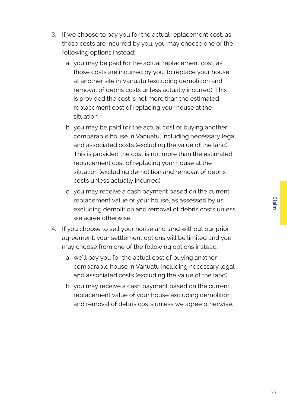- 3. If we choose to pay you for the actual replacement cost, as those costs are incurred by you, you may choose one of the following options instead:
	- a. you may be paid for the actual replacement cost, as those costs are incurred by you, to replace your house at another site in Vanuatu (excluding demolition and removal of debris costs unless actually incurred). This is provided the cost is not more than the estimated replacement cost of replacing your house at the situation
	- b. you may be paid for the actual cost of buying another comparable house in Vanuatu, including necessary legal and associated costs (excluding the value of the land). This is provided the cost is not more than the estimated replacement cost of replacing your house at the situation (excluding demolition and removal of debris costs unless actually incurred)
	- c. you may receive a cash payment based on the current replacement value of your house, as assessed by us, excluding demolition and removal of debris costs unless we agree otherwise.
- 4. If you choose to sell your house and land without our prior agreement, your settlement options will be limited and you may choose from one of the following options instead:
	- a. we'll pay you for the actual cost of buying another comparable house in Vanuatu including necessary legal and associated costs (excluding the value of the land)
	- b. you may receive a cash payment based on the current replacement value of your house excluding demolition and removal of debris costs unless we agree otherwise.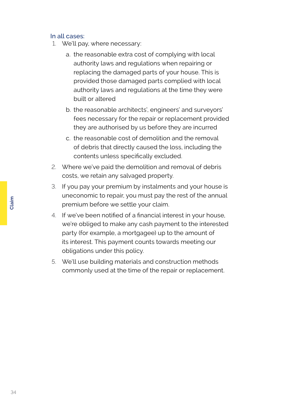#### In all cases:

- 1. We'll pay, where necessary:
	- a. the reasonable extra cost of complying with local authority laws and regulations when repairing or replacing the damaged parts of your house. This is provided those damaged parts complied with local authority laws and regulations at the time they were built or altered
	- b. the reasonable architects', engineers' and surveyors' fees necessary for the repair or replacement provided they are authorised by us before they are incurred
	- c. the reasonable cost of demolition and the removal of debris that directly caused the loss, including the contents unless specifically excluded.
- 2. Where we've paid the demolition and removal of debris costs, we retain any salvaged property.
- 3. If you pay your premium by instalments and your house is uneconomic to repair, you must pay the rest of the annual premium before we settle your claim.
- 4. If we've been notified of a financial interest in your house, we're obliged to make any cash payment to the interested party (for example, a mortgagee) up to the amount of its interest. This payment counts towards meeting our obligations under this policy.
- 5. We'll use building materials and construction methods commonly used at the time of the repair or replacement.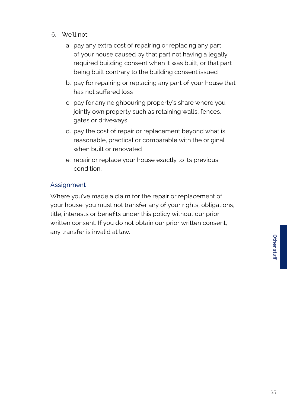- 6. We'll not:
	- a. pay any extra cost of repairing or replacing any part of your house caused by that part not having a legally required building consent when it was built, or that part being built contrary to the building consent issued
	- b. pay for repairing or replacing any part of your house that has not suffered loss
	- c. pay for any neighbouring property's share where you jointly own property such as retaining walls, fences, gates or driveways
	- d. pay the cost of repair or replacement beyond what is reasonable, practical or comparable with the original when built or renovated
	- e. repair or replace your house exactly to its previous condition.

#### **Assignment**

Where you've made a claim for the repair or replacement of your house, you must not transfer any of your rights, obligations, title, interests or benefits under this policy without our prior written consent. If you do not obtain our prior written consent, any transfer is invalid at law.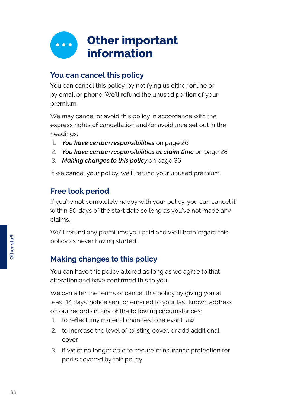

## **You can cancel this policy**

You can cancel this policy, by notifying us either online or by email or phone. We'll refund the unused portion of your premium.

We may cancel or avoid this policy in accordance with the express rights of cancellation and/or avoidance set out in the headings:

- 1. *You have certain responsibilities* on page 26
- 2. *You have certain responsibilities at claim time* on page 28
- 3. *Making changes to this policy* on page 36

If we cancel your policy, we'll refund your unused premium.

## **Free look period**

If you're not completely happy with your policy, you can cancel it within 30 days of the start date so long as you've not made any claims.

We'll refund any premiums you paid and we'll both regard this policy as never having started.

## **Making changes to this policy**

You can have this policy altered as long as we agree to that alteration and have confirmed this to you.

We can alter the terms or cancel this policy by giving you at least 14 days' notice sent or emailed to your last known address on our records in any of the following circumstances:

- 1. to reflect any material changes to relevant law
- 2. to increase the level of existing cover, or add additional cover
- 3. if we're no longer able to secure reinsurance protection for perils covered by this policy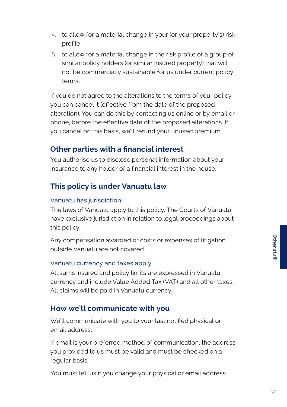- 4. to allow for a material change in your (or your property's) risk profile
- 5. to allow for a material change in the risk profile of a group of similar policy holders (or similar insured property) that will not be commercially sustainable for us under current policy terms.

If you do not agree to the alterations to the terms of your policy, you can cancel it (effective from the date of the proposed alteration). You can do this by contacting us online or by email or phone, before the effective date of the proposed alterations. If you cancel on this basis, we'll refund your unused premium.

## **Other parties with a financial interest**

You authorise us to disclose personal information about your insurance to any holder of a financial interest in the house.

## **This policy is under Vanuatu law**

#### Vanuatu has jurisdiction

The laws of Vanuatu apply to this policy. The Courts of Vanuatu have exclusive jurisdiction in relation to legal proceedings about this policy.

Any compensation awarded or costs or expenses of litigation outside Vanuatu are not covered.

#### Vanuatu currency and taxes apply

All sums insured and policy limits are expressed in Vanuatu currency and include Value Added Tax (VAT) and all other taxes. All claims will be paid in Vanuatu currency.

### **How we'll communicate with you**

We'll communicate with you to your last notified physical or email address.

If email is your preferred method of communication, the address you provided to us must be valid and must be checked on a regular basis.

You must tell us if you change your physical or email address.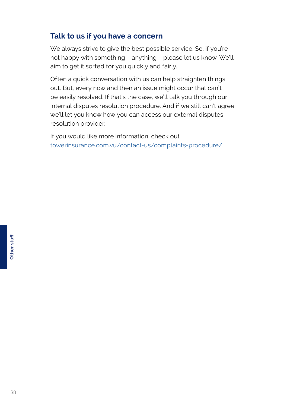## **Talk to us if you have a concern**

We always strive to give the best possible service. So, if you're not happy with something – anything – please let us know. We'll aim to get it sorted for you quickly and fairly.

Often a quick conversation with us can help straighten things out. But, every now and then an issue might occur that can't be easily resolved. If that's the case, we'll talk you through our internal disputes resolution procedure. And if we still can't agree, we'll let you know how you can access our external disputes resolution provider.

If you would like more information, check out [towerinsurance.com.vu/contact-us/complaints-procedure/](http://towerinsurance.com.vu/contact-us/complaints-procedure/)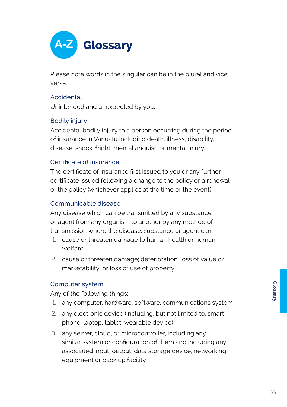

Please note words in the singular can be in the plural and vice versa.

#### **Accidental**

Unintended and unexpected by you.

#### Bodily injury

Accidental bodily injury to a person occurring during the period of insurance in Vanuatu including death, illness, disability, disease, shock, fright, mental anguish or mental injury.

#### Certificate of insurance

The certificate of insurance first issued to you or any further certificate issued following a change to the policy or a renewal of the policy (whichever applies at the time of the event).

#### Communicable disease

Any disease which can be transmitted by any substance or agent from any organism to another by any method of transmission where the disease, substance or agent can:

- 1. cause or threaten damage to human health or human welfare
- 2. cause or threaten damage; deterioration; loss of value or marketability; or loss of use of property.

#### Computer system

Any of the following things:

- 1. any computer, hardware, software, communications system
- 2. any electronic device (including, but not limited to, smart phone, laptop, tablet, wearable device)
- 3. any server, cloud, or microcontroller, including any similar system or configuration of them and including any associated input, output, data storage device, networking equipment or back up facility.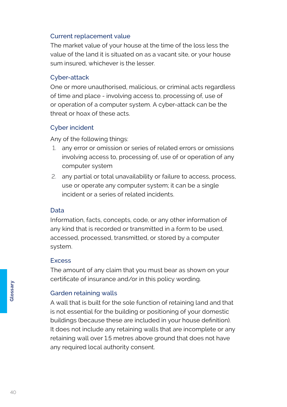#### Current replacement value

The market value of your house at the time of the loss less the value of the land it is situated on as a vacant site, or your house sum insured, whichever is the lesser.

#### Cyber-attack

One or more unauthorised, malicious, or criminal acts regardless of time and place - involving access to, processing of, use of or operation of a computer system. A cyber-attack can be the threat or hoax of these acts.

#### Cyber incident

Any of the following things:

- 1. any error or omission or series of related errors or omissions involving access to, processing of, use of or operation of any computer system
- 2. any partial or total unavailability or failure to access, process, use or operate any computer system; it can be a single incident or a series of related incidents.

#### Data

Information, facts, concepts, code, or any other information of any kind that is recorded or transmitted in a form to be used, accessed, processed, transmitted, or stored by a computer system.

#### **Excess**

The amount of any claim that you must bear as shown on your certificate of insurance and/or in this policy wording.

#### Garden retaining walls

A wall that is built for the sole function of retaining land and that is not essential for the building or positioning of your domestic buildings (because these are included in your house definition). It does not include any retaining walls that are incomplete or any retaining wall over 1.5 metres above ground that does not have any required local authority consent.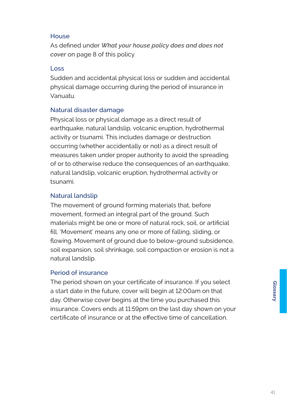#### **House**

As defined under *What your house policy does and does not cover* on page 8 of this policy.

#### Loss

Sudden and accidental physical loss or sudden and accidental physical damage occurring during the period of insurance in Vanuatu.

#### Natural disaster damage

Physical loss or physical damage as a direct result of earthquake, natural landslip, volcanic eruption, hydrothermal activity or tsunami. This includes damage or destruction occurring (whether accidentally or not) as a direct result of measures taken under proper authority to avoid the spreading of or to otherwise reduce the consequences of an earthquake, natural landslip, volcanic eruption, hydrothermal activity or tsunami.

#### Natural landslip

The movement of ground forming materials that, before movement, formed an integral part of the ground. Such materials might be one or more of natural rock, soil, or artificial fill. 'Movement' means any one or more of falling, sliding, or flowing. Movement of ground due to below-ground subsidence, soil expansion, soil shrinkage, soil compaction or erosion is not a natural landslip.

#### Period of insurance

The period shown on your certificate of insurance. If you select a start date in the future, cover will begin at 12:00am on that day. Otherwise cover begins at the time you purchased this insurance. Covers ends at 11:59pm on the last day shown on your certificate of insurance or at the effective time of cancellation.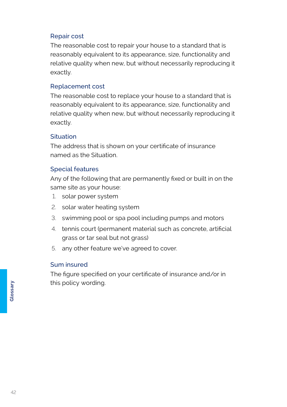#### Repair cost

The reasonable cost to repair your house to a standard that is reasonably equivalent to its appearance, size, functionality and relative quality when new, but without necessarily reproducing it exactly.

#### Replacement cost

The reasonable cost to replace your house to a standard that is reasonably equivalent to its appearance, size, functionality and relative quality when new, but without necessarily reproducing it exactly.

#### **Situation**

The address that is shown on your certificate of insurance named as the Situation.

#### Special features

Any of the following that are permanently fixed or built in on the same site as your house:

- 1. solar power system
- 2. solar water heating system
- 3. swimming pool or spa pool including pumps and motors
- 4. tennis court (permanent material such as concrete, artificial grass or tar seal but not grass)
- 5. any other feature we've agreed to cover.

#### Sum insured

The figure specified on your certificate of insurance and/or in this policy wording.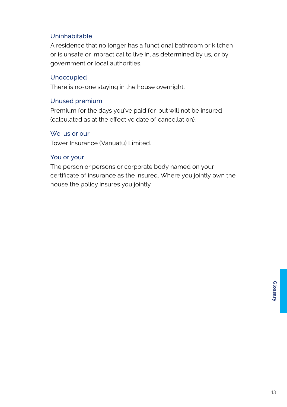#### Uninhabitable

A residence that no longer has a functional bathroom or kitchen or is unsafe or impractical to live in, as determined by us, or by government or local authorities.

#### Unoccupied

There is no-one staying in the house overnight.

#### Unused premium

Premium for the days you've paid for, but will not be insured (calculated as at the effective date of cancellation).

#### We, us or our

Tower Insurance (Vanuatu) Limited.

#### You or your

The person or persons or corporate body named on your certificate of insurance as the insured. Where you jointly own the house the policy insures you jointly.